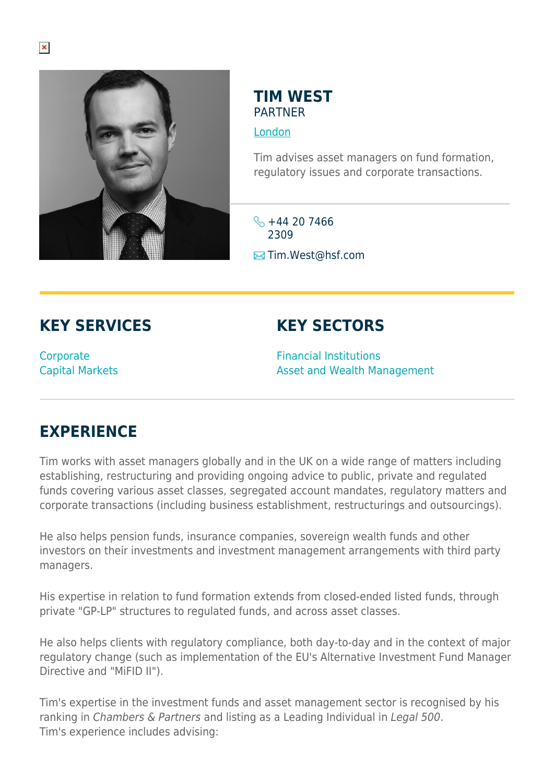

## **TIM WEST PARTNER**

[London](https://www.herbertsmithfreehills.com/lang-es/where-we-work/london)

Tim advises asset managers on fund formation, regulatory issues and corporate transactions.

 $\frac{1}{2}$  +44 20 7466 2309 **E**Tim.West@hsf.com

## **KEY SERVICES**

**Corporate** Capital Markets

## **KEY SECTORS**

Financial Institutions Asset and Wealth Management

## **EXPERIENCE**

Tim works with asset managers globally and in the UK on a wide range of matters including establishing, restructuring and providing ongoing advice to public, private and regulated funds covering various asset classes, segregated account mandates, regulatory matters and corporate transactions (including business establishment, restructurings and outsourcings).

He also helps pension funds, insurance companies, sovereign wealth funds and other investors on their investments and investment management arrangements with third party managers.

His expertise in relation to fund formation extends from closed-ended listed funds, through private "GP-LP" structures to regulated funds, and across asset classes.

He also helps clients with regulatory compliance, both day-to-day and in the context of major regulatory change (such as implementation of the EU's Alternative Investment Fund Manager Directive and "MiFID II").

Tim's expertise in the investment funds and asset management sector is recognised by his ranking in Chambers & Partners and listing as a Leading Individual in Legal 500. Tim's experience includes advising: